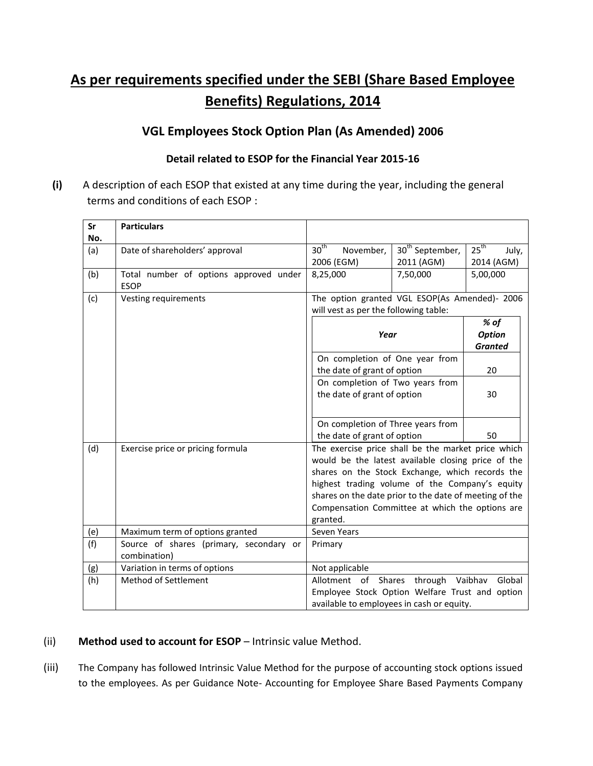# **As per requirements specified under the SEBI (Share Based Employee Benefits) Regulations, 2014**

## **VGL Employees Stock Option Plan (As Amended) 2006**

#### **Detail related to ESOP for the Financial Year 2015-16**

**(i)** A description of each ESOP that existed at any time during the year, including the general terms and conditions of each ESOP :

| Sr  | <b>Particulars</b>                      |                                                        |                             |                           |
|-----|-----------------------------------------|--------------------------------------------------------|-----------------------------|---------------------------|
| No. |                                         |                                                        |                             |                           |
| (a) | Date of shareholders' approval          | 30 <sup>th</sup><br>November,                          | 30 <sup>th</sup> September, | $25^{\text{th}}$<br>July, |
|     |                                         | 2006 (EGM)                                             | 2011 (AGM)                  | 2014 (AGM)                |
| (b) | Total number of options approved under  | 8,25,000                                               | 7,50,000                    | 5,00,000                  |
|     | <b>ESOP</b>                             |                                                        |                             |                           |
| (c) | Vesting requirements                    | The option granted VGL ESOP(As Amended)- 2006          |                             |                           |
|     |                                         | will vest as per the following table:                  |                             |                           |
|     |                                         |                                                        |                             | % of                      |
|     |                                         | Year                                                   |                             | <b>Option</b>             |
|     |                                         |                                                        |                             | <b>Granted</b>            |
|     |                                         | On completion of One year from                         |                             |                           |
|     |                                         | the date of grant of option                            |                             | 20                        |
|     |                                         | On completion of Two years from                        |                             |                           |
|     |                                         | the date of grant of option                            |                             | 30                        |
|     |                                         |                                                        |                             |                           |
|     |                                         | On completion of Three years from                      |                             |                           |
|     |                                         | the date of grant of option                            |                             | 50                        |
| (d) | Exercise price or pricing formula       | The exercise price shall be the market price which     |                             |                           |
|     |                                         | would be the latest available closing price of the     |                             |                           |
|     |                                         | shares on the Stock Exchange, which records the        |                             |                           |
|     |                                         | highest trading volume of the Company's equity         |                             |                           |
|     |                                         | shares on the date prior to the date of meeting of the |                             |                           |
|     |                                         | Compensation Committee at which the options are        |                             |                           |
|     |                                         | granted.                                               |                             |                           |
| (e) | Maximum term of options granted         | Seven Years                                            |                             |                           |
| (f) | Source of shares (primary, secondary or | Primary                                                |                             |                           |
|     | combination)                            |                                                        |                             |                           |
| (g) | Variation in terms of options           | Not applicable                                         |                             |                           |
| (h) | Method of Settlement                    | Allotment<br>of                                        | Shares<br>through Vaibhav   | Global                    |
|     |                                         | Employee Stock Option Welfare Trust and option         |                             |                           |
|     |                                         | available to employees in cash or equity.              |                             |                           |

### (ii) **Method used to account for ESOP** – Intrinsic value Method.

(iii) The Company has followed Intrinsic Value Method for the purpose of accounting stock options issued to the employees. As per Guidance Note- Accounting for Employee Share Based Payments Company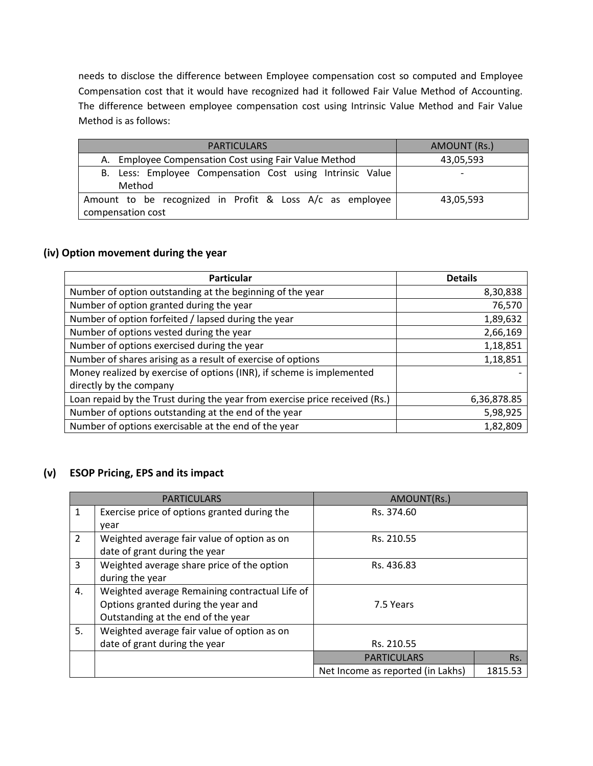needs to disclose the difference between Employee compensation cost so computed and Employee Compensation cost that it would have recognized had it followed Fair Value Method of Accounting. The difference between employee compensation cost using Intrinsic Value Method and Fair Value Method is as follows:

| <b>PARTICULARS</b>                                        | AMOUNT (Rs.) |
|-----------------------------------------------------------|--------------|
| A. Employee Compensation Cost using Fair Value Method     | 43,05,593    |
| B. Less: Employee Compensation Cost using Intrinsic Value |              |
| Method                                                    |              |
| Amount to be recognized in Profit & Loss A/c as employee  | 43,05,593    |
| compensation cost                                         |              |

#### **(iv) Option movement during the year**

| <b>Particular</b>                                                           | <b>Details</b> |
|-----------------------------------------------------------------------------|----------------|
| Number of option outstanding at the beginning of the year                   | 8,30,838       |
| Number of option granted during the year                                    | 76,570         |
| Number of option forfeited / lapsed during the year                         | 1,89,632       |
| Number of options vested during the year                                    | 2,66,169       |
| Number of options exercised during the year                                 | 1,18,851       |
| Number of shares arising as a result of exercise of options                 | 1,18,851       |
| Money realized by exercise of options (INR), if scheme is implemented       |                |
| directly by the company                                                     |                |
| Loan repaid by the Trust during the year from exercise price received (Rs.) | 6,36,878.85    |
| Number of options outstanding at the end of the year                        | 5,98,925       |
| Number of options exercisable at the end of the year                        | 1,82,809       |

#### **(v) ESOP Pricing, EPS and its impact**

|                | <b>PARTICULARS</b>                             | AMOUNT(Rs.)                       |         |
|----------------|------------------------------------------------|-----------------------------------|---------|
| 1              | Exercise price of options granted during the   | Rs. 374.60                        |         |
|                | year                                           |                                   |         |
| $\overline{2}$ | Weighted average fair value of option as on    | Rs. 210.55                        |         |
|                | date of grant during the year                  |                                   |         |
| 3              | Weighted average share price of the option     | Rs. 436.83                        |         |
|                | during the year                                |                                   |         |
| 4.             | Weighted average Remaining contractual Life of |                                   |         |
|                | Options granted during the year and            | 7.5 Years                         |         |
|                | Outstanding at the end of the year             |                                   |         |
| 5.             | Weighted average fair value of option as on    |                                   |         |
|                | date of grant during the year                  | Rs. 210.55                        |         |
|                |                                                | <b>PARTICULARS</b>                | Rs.     |
|                |                                                | Net Income as reported (in Lakhs) | 1815.53 |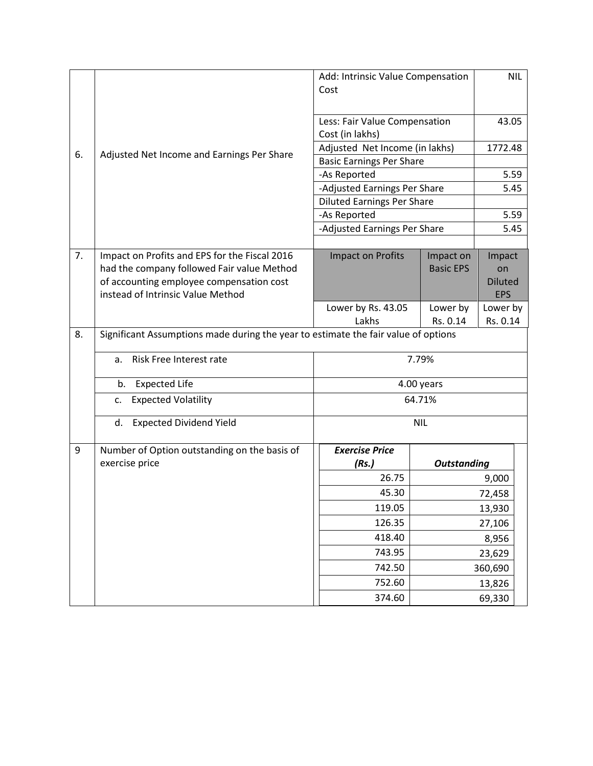|    |                                                                                    | Add: Intrinsic Value Compensation<br>Cost        |                    | <b>NIL</b>                   |  |
|----|------------------------------------------------------------------------------------|--------------------------------------------------|--------------------|------------------------------|--|
|    |                                                                                    | Less: Fair Value Compensation<br>Cost (in lakhs) |                    | 43.05                        |  |
| 6. |                                                                                    | Adjusted Net Income (in lakhs)                   |                    | 1772.48                      |  |
|    | Adjusted Net Income and Earnings Per Share                                         | <b>Basic Earnings Per Share</b>                  |                    |                              |  |
|    |                                                                                    | -As Reported                                     |                    | 5.59                         |  |
|    |                                                                                    | -Adjusted Earnings Per Share                     |                    | 5.45                         |  |
|    |                                                                                    | <b>Diluted Earnings Per Share</b>                |                    |                              |  |
|    |                                                                                    | -As Reported                                     |                    | 5.59                         |  |
|    |                                                                                    | -Adjusted Earnings Per Share                     |                    | 5.45                         |  |
|    |                                                                                    |                                                  |                    |                              |  |
| 7. | Impact on Profits and EPS for the Fiscal 2016                                      | <b>Impact on Profits</b>                         | Impact on          | Impact                       |  |
|    | had the company followed Fair value Method                                         |                                                  | <b>Basic EPS</b>   | on                           |  |
|    | of accounting employee compensation cost<br>instead of Intrinsic Value Method      |                                                  |                    | <b>Diluted</b><br><b>EPS</b> |  |
|    |                                                                                    | Lower by Rs. 43.05                               | Lower by           | Lower by                     |  |
|    |                                                                                    | Lakhs                                            | Rs. 0.14           | Rs. 0.14                     |  |
| 8. | Significant Assumptions made during the year to estimate the fair value of options |                                                  |                    |                              |  |
|    | Risk Free Interest rate<br>a.                                                      | 7.79%                                            |                    |                              |  |
|    | <b>Expected Life</b><br>b.                                                         |                                                  | 4.00 years         |                              |  |
|    | <b>Expected Volatility</b><br>c.                                                   |                                                  | 64.71%             |                              |  |
|    | <b>Expected Dividend Yield</b><br>d.                                               | <b>NIL</b>                                       |                    |                              |  |
| 9  | Number of Option outstanding on the basis of                                       | <b>Exercise Price</b>                            |                    |                              |  |
|    | exercise price                                                                     | (Rs.)                                            | <b>Outstanding</b> |                              |  |
|    |                                                                                    | 26.75                                            | 9,000              |                              |  |
|    |                                                                                    | 45.30                                            | 72,458             |                              |  |
|    |                                                                                    | 119.05                                           | 13,930             |                              |  |
|    |                                                                                    | 126.35                                           | 27,106             |                              |  |
|    |                                                                                    | 418.40                                           | 8,956              |                              |  |
|    |                                                                                    | 743.95                                           | 23,629             |                              |  |
|    |                                                                                    | 742.50                                           | 360,690            |                              |  |
|    |                                                                                    | 752.60                                           | 13,826             |                              |  |
|    |                                                                                    | 374.60                                           | 69,330             |                              |  |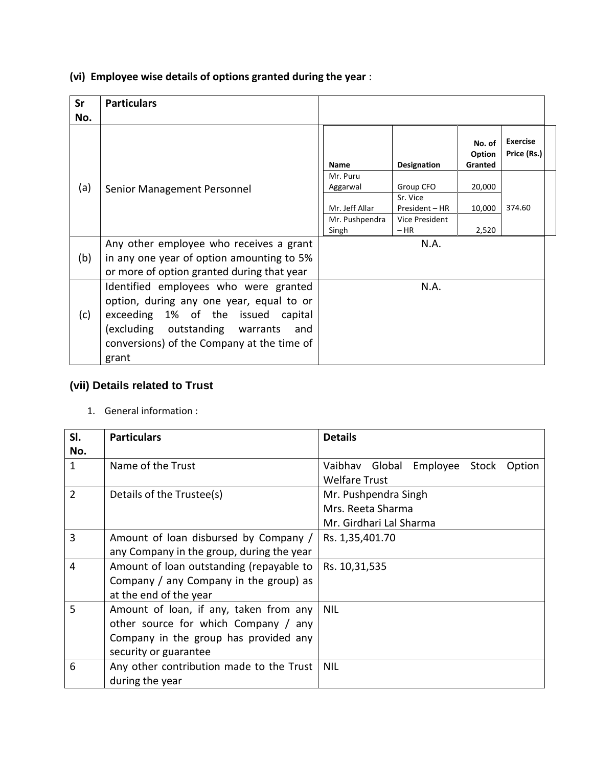**(vi) Employee wise details of options granted during the year** :

| Sr  | <b>Particulars</b>                         |                |                    |                             |                                |
|-----|--------------------------------------------|----------------|--------------------|-----------------------------|--------------------------------|
| No. |                                            |                |                    |                             |                                |
|     |                                            | <b>Name</b>    | <b>Designation</b> | No. of<br>Option<br>Granted | <b>Exercise</b><br>Price (Rs.) |
|     |                                            | Mr. Puru       | Group CFO          | 20,000                      |                                |
| (a) | Senior Management Personnel                | Aggarwal       | Sr. Vice           |                             |                                |
|     |                                            | Mr. Jeff Allar | President - HR     | 10,000                      | 374.60                         |
|     |                                            | Mr. Pushpendra | Vice President     |                             |                                |
|     |                                            | Singh          | $-HR$              | 2,520                       |                                |
|     | Any other employee who receives a grant    |                | N.A.               |                             |                                |
| (b) | in any one year of option amounting to 5%  |                |                    |                             |                                |
|     | or more of option granted during that year |                |                    |                             |                                |
|     | Identified employees who were granted      |                | N.A.               |                             |                                |
|     | option, during any one year, equal to or   |                |                    |                             |                                |
| (c) | exceeding 1% of the issued<br>capital      |                |                    |                             |                                |
|     | (excluding outstanding warrants<br>and     |                |                    |                             |                                |
|     | conversions) of the Company at the time of |                |                    |                             |                                |
|     |                                            |                |                    |                             |                                |
|     | grant                                      |                |                    |                             |                                |

# **(vii) Details related to Trust**

1. General information :

| SI.            | <b>Particulars</b>                        | <b>Details</b>                             |
|----------------|-------------------------------------------|--------------------------------------------|
| No.            |                                           |                                            |
| 1              | Name of the Trust                         | Employee Stock<br>Vaibhav Global<br>Option |
|                |                                           | <b>Welfare Trust</b>                       |
| $\overline{2}$ | Details of the Trustee(s)                 | Mr. Pushpendra Singh                       |
|                |                                           | Mrs. Reeta Sharma                          |
|                |                                           | Mr. Girdhari Lal Sharma                    |
| 3              | Amount of loan disbursed by Company /     | Rs. 1,35,401.70                            |
|                | any Company in the group, during the year |                                            |
| 4              | Amount of loan outstanding (repayable to  | Rs. 10,31,535                              |
|                | Company / any Company in the group) as    |                                            |
|                | at the end of the year                    |                                            |
| 5              | Amount of loan, if any, taken from any    | <b>NIL</b>                                 |
|                | other source for which Company / any      |                                            |
|                | Company in the group has provided any     |                                            |
|                | security or guarantee                     |                                            |
| 6              | Any other contribution made to the Trust  | <b>NIL</b>                                 |
|                | during the year                           |                                            |